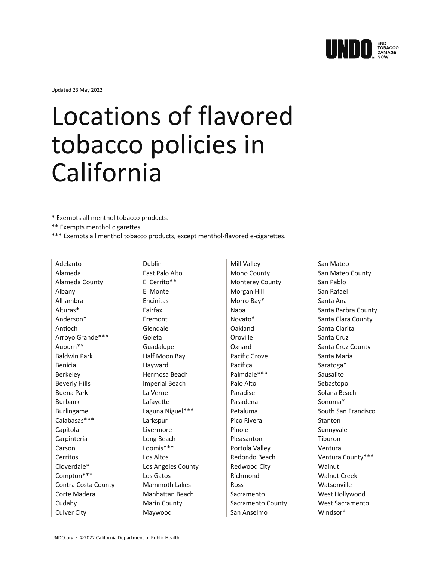

Updated 23 May 2022

## Locations of flavored tobacco policies in California

\* Exempts all menthol tobacco products.

- \*\* Exempts menthol cigarettes.
- \*\*\* Exempts all menthol tobacco products, except menthol-flavored e-cigarettes.

Adelanto Alameda Alameda County Albany Alhambra Alturas\* Anderson\* Antioch Arroyo Grande\*\*\* Auburn\*\* Baldwin Park Benicia Berkeley Beverly Hills Buena Park Burbank Burlingame Calabasas\*\*\* Capitola Carpinteria Carson Cerritos Cloverdale\* Compton\*\*\* Contra Costa County Corte Madera Cudahy Culver City

Dublin East Palo Alto El Cerrito\*\* El Monte Encinitas Fairfax Fremont Glendale Goleta Guadalupe Half Moon Bay Hayward Hermosa Beach Imperial Beach La Verne Lafayette Laguna Niguel\*\*\* Larkspur Livermore Long Beach Loomis\*\*\* Los Altos Los Angeles County Los Gatos Mammoth Lakes Manhattan Beach Marin County Maywood

Mill Valley Mono County Monterey County Morgan Hill Morro Bay\* Napa Novato\* Oakland Oroville Oxnard Pacific Grove Pacifica Palmdale\*\*\* Palo Alto Paradise Pasadena Petaluma Pico Rivera Pinole Pleasanton Portola Valley Redondo Beach Redwood City Richmond Ross Sacramento Sacramento County San Anselmo

San Mateo San Mateo County San Pablo San Rafael Santa Ana Santa Barbra County Santa Clara County Santa Clarita Santa Cruz Santa Cruz County Santa Maria Saratoga\* Sausalito Sebastopol Solana Beach Sonoma\* South San Francisco Stanton Sunnyvale Tiburon Ventura Ventura County\*\*\* Walnut Walnut Creek **Watsonville** West Hollywood West Sacramento Windsor\*